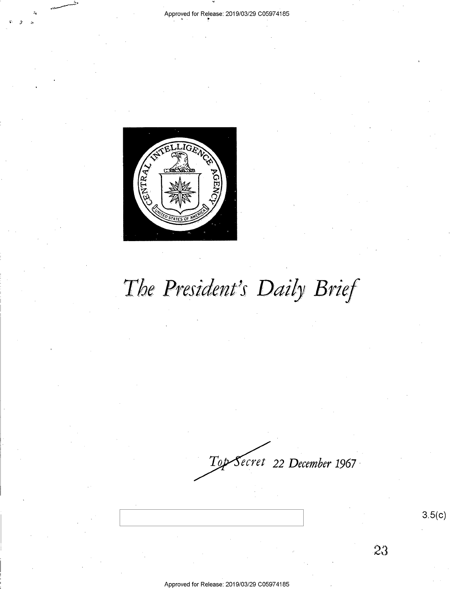

The President's Daily Brief

*ecret* **22** *December 1967* -  $T\omega$ 

23

3.5(c)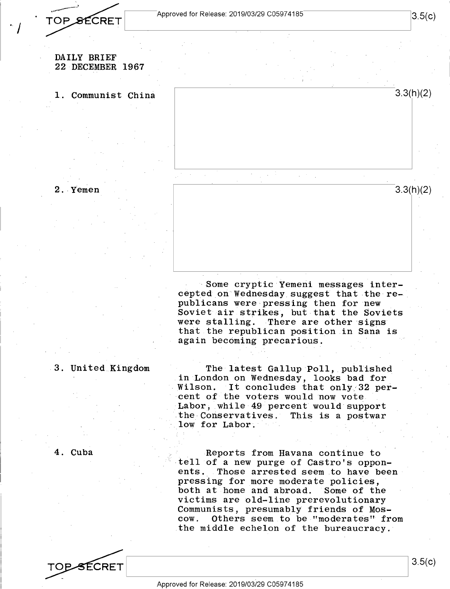TOP SECRET

 $\cdot$  /

3.3(h)(2)

### DAILY BRIEF 22 DECEMBER 1967

1. Communist China





Some cryptic Yemeni messages inter-

cepted on Wednesday suggest that the republicans were pressing then for new Soviet air strikes, but that the Soviets were stalling. There are other signs that the republican position in Sana is again becoming precarious.

## 3. United Kingdom

4. Cuba

The latest Gallup Poll, published in London on Wednesday, looks bad for Wilson. It concludes that only 32 percent of the voters would now vote Labor, while 49 percent would support the Conservatives. This is a postwar low for Labor.

Reports from Havana continue to tell of a new purge of Castro's opponents. Those arrested seem to have been pressing for more moderate policies,<br>both at home and abroad. Some of the both at home and abroad. victims are old-line prerevolutionary Communists, presumably friends of Mos-Others seem to be "moderates" from the middle echelon of the bureaucracy.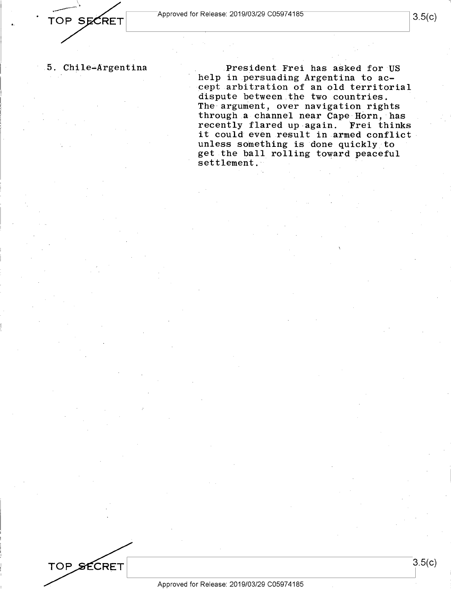3.5(c)

## 5. Chile-Argentina

President Frei has asked for US help in persuading Argentina to accept arbitration of an old territorial dispute between.the two countries. The argument, over navigation rights through a channel near Cape Horn, has recently flared up again. Frei thinks it could even result in armed conflict unless something is done quickly to get the ball rolling toward peaceful settlement.

TOP SECRET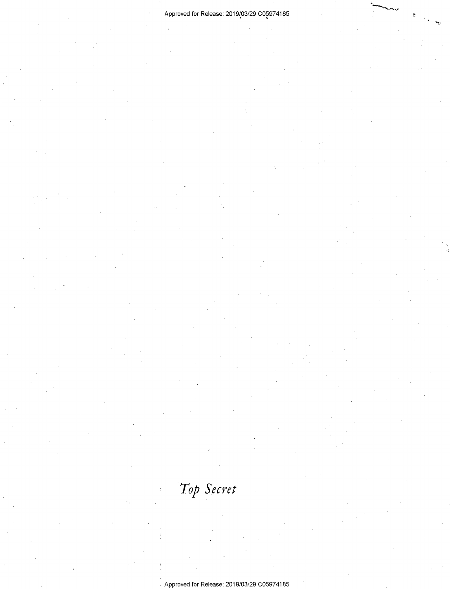# Approved for Release: 2019/03/29 C05974185

*Top Secret*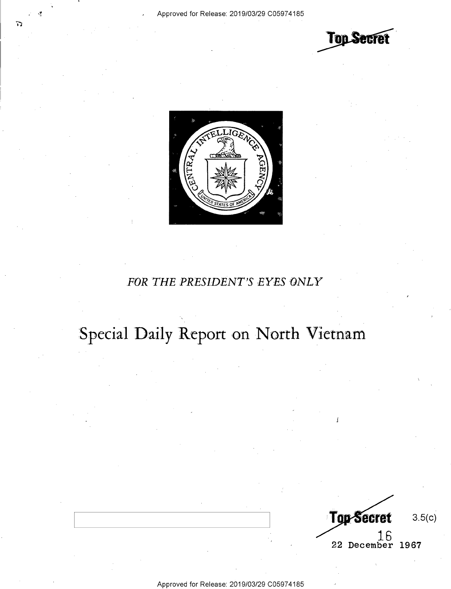



# FOR THE PRESIDENT'S EYES ONLY

# Special Daily Report on North Vietnam

Top-Secret 3.5(c) 1.6 22 December 1967

Approved for Release: 2019/03/29 C0597 4185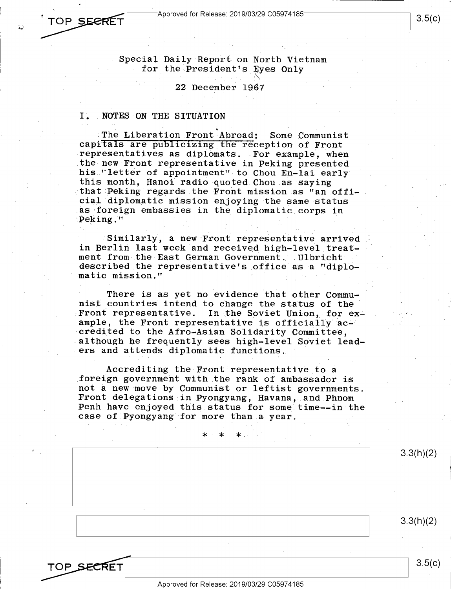*<sup>1</sup>***TOP** ~ I Approved for Release: 2019/03/29 C05974185 I 3  $\begin{array}{|c|c|c|c|}\n \hline\n \end{array}$   $\begin{array}{|c|c|c|}\n \hline\n \end{array}$   $\begin{array}{|c|c|}\n \hline\n \end{array}$   $\begin{array}{|c|c|}\n \hline\n \end{array}$   $\begin{array}{|c|c|}\n \hline\n \end{array}$   $\begin{array}{|c|c|}\n \hline\n \end{array}$   $\begin{array}{|c|c|}\n \hline\n \end{array}$   $\begin{array}{|c|c|}\n \hline\n \end{array}$   $\begin{array}{|c|c|}\n \hline\n \end{array}$ **T**<br>
Approved for Release: 2019/03/29 C05974185<br>
3.5(c)

> Special Daily Report on North Vietnam for the President's Eyes Only

#### 22 December 1967

### I. NOTES ON THE SITUATION

. •The Liberation Front Abroad: Some Communist capitals are publicizing the reception of Front representatives as diplomats. For example, when the new Front representative in Peking presented his "letter of appointment" to Chou En-lai early this month, Hanoi radio quoted Chou as saying that Peking regards the Front mission as "an official diplomatic mission enjoying the same status as foreign embassies in the diplomatic corps in Peking."

Similarly, a new Front representative arrived in Berlin last week and received high-level treatment from the East German Government. Ulbricht described the representative's office as a "diplomatic mission."

There is as yet no evidence that other Communist countries intend to change the status of the Front representative. In the Soviet Union, for example, the Front representative is officially accredited to the Afro--Asian Solidarity Committee, although he frequently sees high-level Soviet leaders and attends diplomatic functions.

Accrediting the Front representative to a foreign government with the rank of ambassador is not a new move by Communist or leftist governments. Front delegations .in Pyongyang, Havana, and Phnom Penh have enjoyed this status for some time--in the case of Pyongyang for more than a year.

|            | $\ast$<br>○米"2000年<br>$\ast$               |                      |
|------------|--------------------------------------------|----------------------|
|            |                                            | 3.3(h)(2)            |
|            |                                            |                      |
|            |                                            |                      |
|            |                                            |                      |
|            |                                            | $\cdot$<br>3.3(h)(2) |
|            |                                            |                      |
|            |                                            |                      |
| TOP SECRET |                                            | 3.5(c)               |
|            | Approved for Release: 2019/03/29 C05974185 |                      |

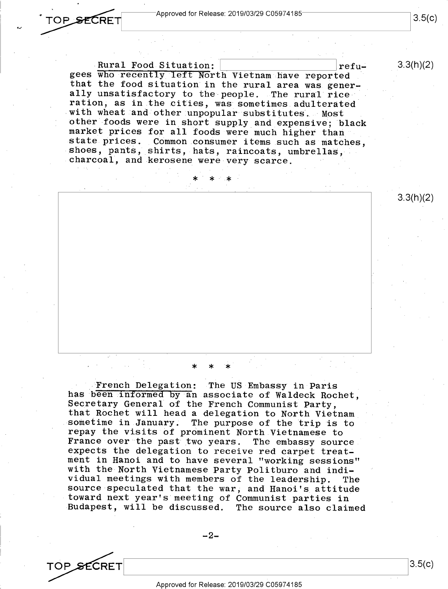3.3(h)(2)

Rural Food Situation:  $\vert$  |  $\vert$  |  $\vert$  |  $\vert$  |  $\vert$  |  $\vert$  |  $\vert$  |  $\vert$  |  $\vert$  |  $\vert$  |  $\vert$  |  $\vert$  |  $\vert$  |  $\vert$  |  $\vert$  |  $\vert$  |  $\vert$  |  $\vert$  |  $\vert$  |  $\vert$  |  $\vert$  |  $\vert$  |  $\vert$  |  $\vert$  |  $\vert$  |  $\vert$  |  $\vert$  |  $\vert$  |  $\vert$ gees who recently left North Vietnam have reported that the food situation in the rural area was generally unsatisfactory to the people. The rural rice ration, as in the cities, was sometimes adulterated with wheat and other unpopular substitutes. Most other foods were in short supply and expensive; black market prices for all foods were much higher than state prices. Common consumer items such as matches, shoes, pants, shirts, hats, raincoats, umbrellas, charcoal, and kerosene were very scarce.

\* \* \*

3.3(h)(2)

\* \* \*

French Delegation: The US Embassy in Paris has been informed by an associate of Waldeck Rochet, Secretary General of the French Communist Party, that Rochet will head a delegation to North Vietnam sometime in January. The purpose of the trip is to repay the visits of prominent North Vietnamese to France over the past two years. The embassy source expects the delegation to receive red carpet treatment in Hanoi and to have several "working sessions" with the North Vietnamese Party Politburo and individual meetings with members of the leadership. The source speculated that the war, and Hanoi's attitude toward next year's meeting of Communist parties in Budapest, will be discussed. The source also claimed

 $-2-$ 

 $T$ UP SECRE $T$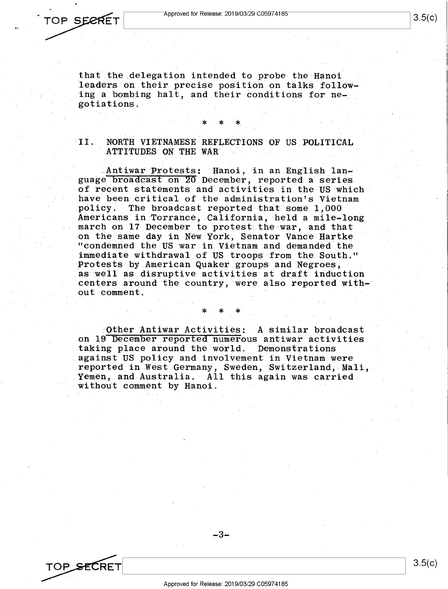that the delegation intended to probe the Hanoi leaders on their precise position on talks following a bombing halt, and their conditions for negotiations.

\* \* "\*

### II. NORTH VIETNAMESE REFLECTIONS OF US POLITICAL ATTITUDES ON THE WAR

.Antiwar Protests: Hanoi, in an.English lan~ guage broadcast on 20 December, reported a series of recent statements and activities in the US which have been critical of the administration's Vietnam<br>policy. The broadcast reported that some 1.000 The broadcast reported that some 1,000 Americans in Torrance, California, held a mile-long march on 17 December to protest the war, and that on the same day in New York, Senator Vance Hartke "condemned the US war in Vietnam and demanded.the immediate withdrawal of US troops from the South." Protests by American Quaker groups and Negroes, as well as disruptive activities at draft induction centers around the country, were also reported without comment.

Other Antiwar Activities: A similar broadcast on 19 December reported numerous antiwar activities<br>taking place around the world. Demonstrations taking place around the world. against US policy and involvement in Vietnam were reported in West Germany, Sweden, Switzerland,-Mali, Yemen, and Australia. All this again was carried without comment by Hanoi.

\* \* \*